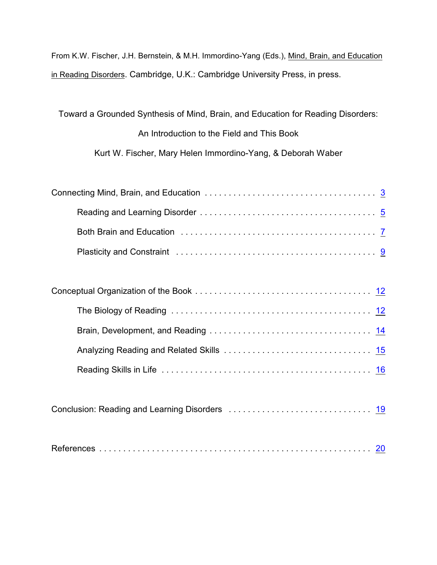From K.W. Fischer, J.H. Bernstein, & M.H. Immordino-Yang (Eds.), Mind, Brain, and Education in Reading Disorders. Cambridge, U.K.: Cambridge University Press, in press.

Toward a Grounded Synthesis of Mind, Brain, and Education for Reading Disorders: An Introduction to the Field and This Book Kurt W. Fischer, Mary Helen Immordino-Yang, & Deborah Waber

| $\overline{\phantom{0}}$<br><b>References</b> |  |  |  |  |
|-----------------------------------------------|--|--|--|--|
|-----------------------------------------------|--|--|--|--|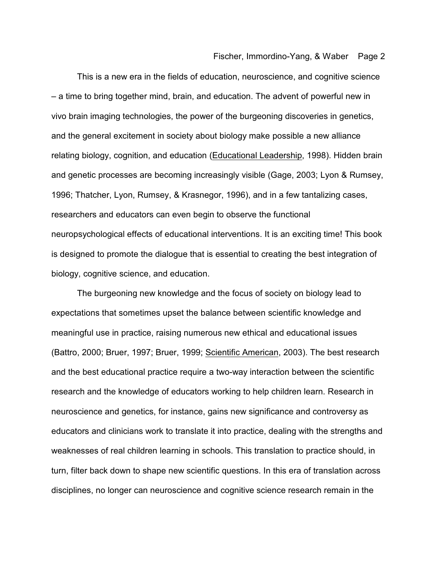This is a new era in the fields of education, neuroscience, and cognitive science – a time to bring together mind, brain, and education. The advent of powerful new in vivo brain imaging technologies, the power of the burgeoning discoveries in genetics, and the general excitement in society about biology make possible a new alliance relating biology, cognition, and education (Educational Leadership, 1998). Hidden brain and genetic processes are becoming increasingly visible (Gage, 2003; Lyon & Rumsey, 1996; Thatcher, Lyon, Rumsey, & Krasnegor, 1996), and in a few tantalizing cases, researchers and educators can even begin to observe the functional neuropsychological effects of educational interventions. It is an exciting time! This book is designed to promote the dialogue that is essential to creating the best integration of biology, cognitive science, and education.

The burgeoning new knowledge and the focus of society on biology lead to expectations that sometimes upset the balance between scientific knowledge and meaningful use in practice, raising numerous new ethical and educational issues (Battro, 2000; Bruer, 1997; Bruer, 1999; Scientific American, 2003). The best research and the best educational practice require a two-way interaction between the scientific research and the knowledge of educators working to help children learn. Research in neuroscience and genetics, for instance, gains new significance and controversy as educators and clinicians work to translate it into practice, dealing with the strengths and weaknesses of real children learning in schools. This translation to practice should, in turn, filter back down to shape new scientific questions. In this era of translation across disciplines, no longer can neuroscience and cognitive science research remain in the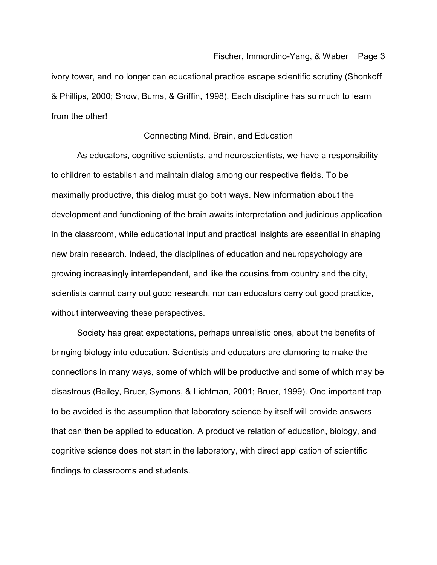ivory tower, and no longer can educational practice escape scientific scrutiny (Shonkoff & Phillips, 2000; Snow, Burns, & Griffin, 1998). Each discipline has so much to learn from the other!

# <span id="page-2-0"></span>Connecting Mind, Brain, and Education

As educators, cognitive scientists, and neuroscientists, we have a responsibility to children to establish and maintain dialog among our respective fields. To be maximally productive, this dialog must go both ways. New information about the development and functioning of the brain awaits interpretation and judicious application in the classroom, while educational input and practical insights are essential in shaping new brain research. Indeed, the disciplines of education and neuropsychology are growing increasingly interdependent, and like the cousins from country and the city, scientists cannot carry out good research, nor can educators carry out good practice, without interweaving these perspectives.

Society has great expectations, perhaps unrealistic ones, about the benefits of bringing biology into education. Scientists and educators are clamoring to make the connections in many ways, some of which will be productive and some of which may be disastrous (Bailey, Bruer, Symons, & Lichtman, 2001; Bruer, 1999). One important trap to be avoided is the assumption that laboratory science by itself will provide answers that can then be applied to education. A productive relation of education, biology, and cognitive science does not start in the laboratory, with direct application of scientific findings to classrooms and students.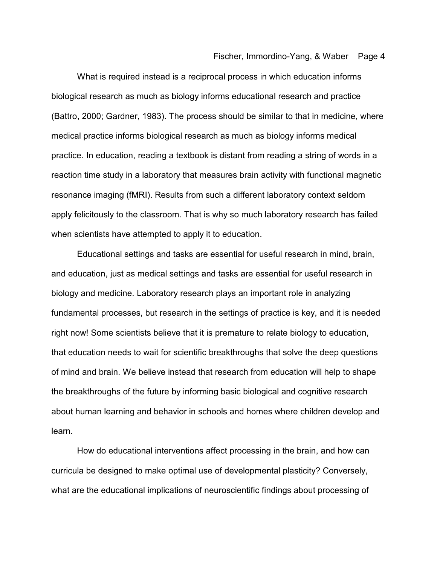What is required instead is a reciprocal process in which education informs biological research as much as biology informs educational research and practice (Battro, 2000; Gardner, 1983). The process should be similar to that in medicine, where medical practice informs biological research as much as biology informs medical practice. In education, reading a textbook is distant from reading a string of words in a reaction time study in a laboratory that measures brain activity with functional magnetic resonance imaging (fMRI). Results from such a different laboratory context seldom apply felicitously to the classroom. That is why so much laboratory research has failed when scientists have attempted to apply it to education.

Educational settings and tasks are essential for useful research in mind, brain, and education, just as medical settings and tasks are essential for useful research in biology and medicine. Laboratory research plays an important role in analyzing fundamental processes, but research in the settings of practice is key, and it is needed right now! Some scientists believe that it is premature to relate biology to education, that education needs to wait for scientific breakthroughs that solve the deep questions of mind and brain. We believe instead that research from education will help to shape the breakthroughs of the future by informing basic biological and cognitive research about human learning and behavior in schools and homes where children develop and learn.

How do educational interventions affect processing in the brain, and how can curricula be designed to make optimal use of developmental plasticity? Conversely, what are the educational implications of neuroscientific findings about processing of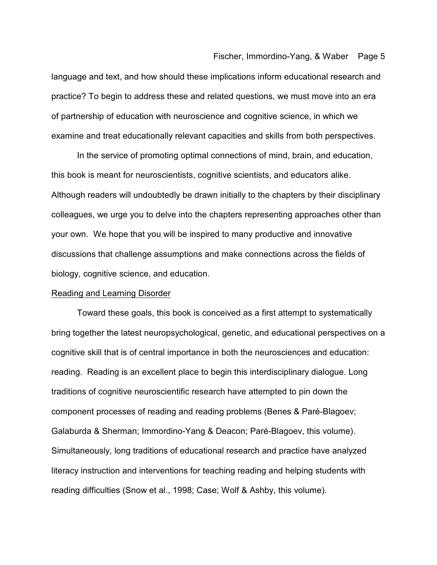language and text, and how should these implications inform educational research and practice? To begin to address these and related questions, we must move into an era of partnership of education with neuroscience and cognitive science, in which we examine and treat educationally relevant capacities and skills from both perspectives.

In the service of promoting optimal connections of mind, brain, and education, this book is meant for neuroscientists, cognitive scientists, and educators alike. Although readers will undoubtedly be drawn initially to the chapters by their disciplinary colleagues, we urge you to delve into the chapters representing approaches other than your own. We hope that you will be inspired to many productive and innovative discussions that challenge assumptions and make connections across the fields of biology, cognitive science, and education.

### <span id="page-4-0"></span>Reading and Learning Disorder

Toward these goals, this book is conceived as a first attempt to systematically bring together the latest neuropsychological, genetic, and educational perspectives on a cognitive skill that is of central importance in both the neurosciences and education: reading. Reading is an excellent place to begin this interdisciplinary dialogue. Long traditions of cognitive neuroscientific research have attempted to pin down the component processes of reading and reading problems (Benes & Paré-Blagoev; Galaburda & Sherman; Immordino-Yang & Deacon; Paré-Blagoev, this volume). Simultaneously, long traditions of educational research and practice have analyzed literacy instruction and interventions for teaching reading and helping students with reading difficulties (Snow et al., 1998; Case; Wolf & Ashby, this volume).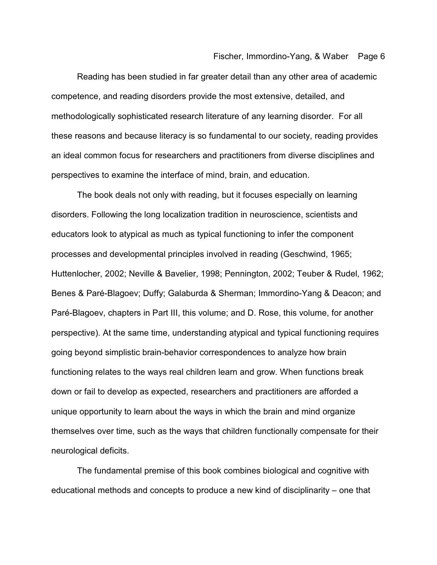Reading has been studied in far greater detail than any other area of academic competence, and reading disorders provide the most extensive, detailed, and methodologically sophisticated research literature of any learning disorder. For all these reasons and because literacy is so fundamental to our society, reading provides an ideal common focus for researchers and practitioners from diverse disciplines and perspectives to examine the interface of mind, brain, and education.

The book deals not only with reading, but it focuses especially on learning disorders. Following the long localization tradition in neuroscience, scientists and educators look to atypical as much as typical functioning to infer the component processes and developmental principles involved in reading (Geschwind, 1965; Huttenlocher, 2002; Neville & Bavelier, 1998; Pennington, 2002; Teuber & Rudel, 1962; Benes & Paré-Blagoev; Duffy; Galaburda & Sherman; Immordino-Yang & Deacon; and Paré-Blagoev, chapters in Part III, this volume; and D. Rose, this volume, for another perspective). At the same time, understanding atypical and typical functioning requires going beyond simplistic brain-behavior correspondences to analyze how brain functioning relates to the ways real children learn and grow. When functions break down or fail to develop as expected, researchers and practitioners are afforded a unique opportunity to learn about the ways in which the brain and mind organize themselves over time, such as the ways that children functionally compensate for their neurological deficits.

The fundamental premise of this book combines biological and cognitive with educational methods and concepts to produce a new kind of disciplinarity – one that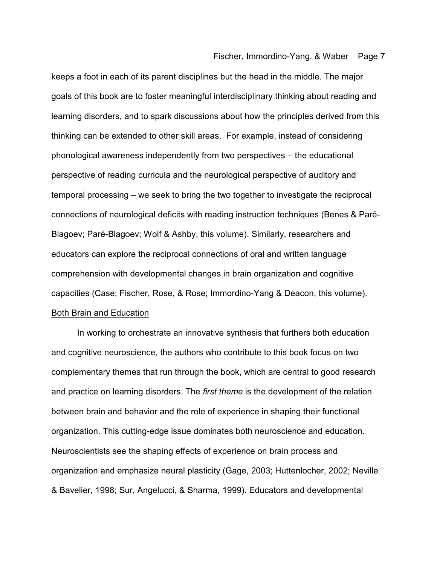keeps a foot in each of its parent disciplines but the head in the middle. The major goals of this book are to foster meaningful interdisciplinary thinking about reading and learning disorders, and to spark discussions about how the principles derived from this thinking can be extended to other skill areas. For example, instead of considering phonological awareness independently from two perspectives – the educational perspective of reading curricula and the neurological perspective of auditory and temporal processing – we seek to bring the two together to investigate the reciprocal connections of neurological deficits with reading instruction techniques (Benes & Paré-Blagoev; Paré-Blagoev; Wolf & Ashby, this volume). Similarly, researchers and educators can explore the reciprocal connections of oral and written language comprehension with developmental changes in brain organization and cognitive capacities (Case; Fischer, Rose, & Rose; Immordino-Yang & Deacon, this volume). Both Brain and Education

<span id="page-6-0"></span>In working to orchestrate an innovative synthesis that furthers both education and cognitive neuroscience, the authors who contribute to this book focus on two complementary themes that run through the book, which are central to good research and practice on learning disorders. The *first theme* is the development of the relation between brain and behavior and the role of experience in shaping their functional organization. This cutting-edge issue dominates both neuroscience and education. Neuroscientists see the shaping effects of experience on brain process and organization and emphasize neural plasticity (Gage, 2003; Huttenlocher, 2002; Neville & Bavelier, 1998; Sur, Angelucci, & Sharma, 1999). Educators and developmental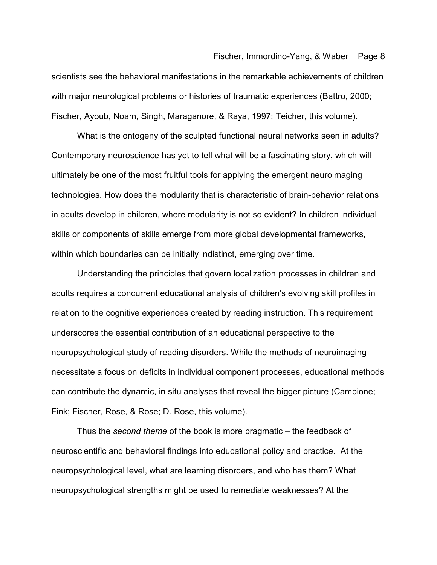scientists see the behavioral manifestations in the remarkable achievements of children with major neurological problems or histories of traumatic experiences (Battro, 2000; Fischer, Ayoub, Noam, Singh, Maraganore, & Raya, 1997; Teicher, this volume).

What is the ontogeny of the sculpted functional neural networks seen in adults? Contemporary neuroscience has yet to tell what will be a fascinating story, which will ultimately be one of the most fruitful tools for applying the emergent neuroimaging technologies. How does the modularity that is characteristic of brain-behavior relations in adults develop in children, where modularity is not so evident? In children individual skills or components of skills emerge from more global developmental frameworks, within which boundaries can be initially indistinct, emerging over time.

Understanding the principles that govern localization processes in children and adults requires a concurrent educational analysis of children's evolving skill profiles in relation to the cognitive experiences created by reading instruction. This requirement underscores the essential contribution of an educational perspective to the neuropsychological study of reading disorders. While the methods of neuroimaging necessitate a focus on deficits in individual component processes, educational methods can contribute the dynamic, in situ analyses that reveal the bigger picture (Campione; Fink; Fischer, Rose, & Rose; D. Rose, this volume).

Thus the *second theme* of the book is more pragmatic – the feedback of neuroscientific and behavioral findings into educational policy and practice. At the neuropsychological level, what are learning disorders, and who has them? What neuropsychological strengths might be used to remediate weaknesses? At the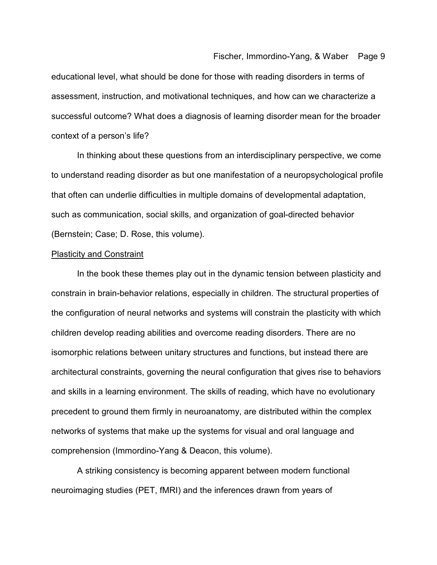educational level, what should be done for those with reading disorders in terms of assessment, instruction, and motivational techniques, and how can we characterize a successful outcome? What does a diagnosis of learning disorder mean for the broader context of a person's life?

In thinking about these questions from an interdisciplinary perspective, we come to understand reading disorder as but one manifestation of a neuropsychological profile that often can underlie difficulties in multiple domains of developmental adaptation, such as communication, social skills, and organization of goal-directed behavior (Bernstein; Case; D. Rose, this volume).

#### <span id="page-8-0"></span>Plasticity and Constraint

In the book these themes play out in the dynamic tension between plasticity and constrain in brain-behavior relations, especially in children. The structural properties of the configuration of neural networks and systems will constrain the plasticity with which children develop reading abilities and overcome reading disorders. There are no isomorphic relations between unitary structures and functions, but instead there are architectural constraints, governing the neural configuration that gives rise to behaviors and skills in a learning environment. The skills of reading, which have no evolutionary precedent to ground them firmly in neuroanatomy, are distributed within the complex networks of systems that make up the systems for visual and oral language and comprehension (Immordino-Yang & Deacon, this volume).

A striking consistency is becoming apparent between modern functional neuroimaging studies (PET, fMRI) and the inferences drawn from years of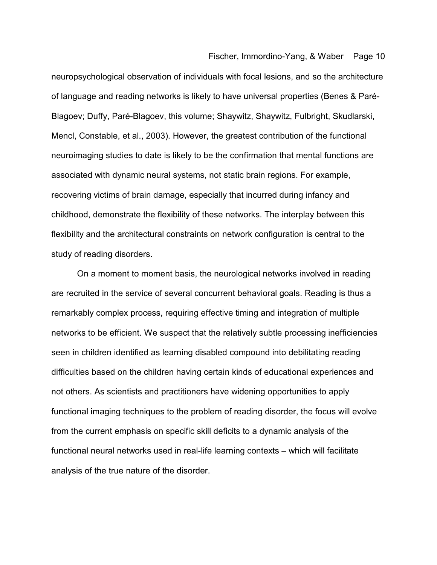neuropsychological observation of individuals with focal lesions, and so the architecture of language and reading networks is likely to have universal properties (Benes & Paré-Blagoev; Duffy, Paré-Blagoev, this volume; Shaywitz, Shaywitz, Fulbright, Skudlarski, Mencl, Constable, et al., 2003). However, the greatest contribution of the functional neuroimaging studies to date is likely to be the confirmation that mental functions are associated with dynamic neural systems, not static brain regions. For example, recovering victims of brain damage, especially that incurred during infancy and childhood, demonstrate the flexibility of these networks. The interplay between this flexibility and the architectural constraints on network configuration is central to the study of reading disorders.

On a moment to moment basis, the neurological networks involved in reading are recruited in the service of several concurrent behavioral goals. Reading is thus a remarkably complex process, requiring effective timing and integration of multiple networks to be efficient. We suspect that the relatively subtle processing inefficiencies seen in children identified as learning disabled compound into debilitating reading difficulties based on the children having certain kinds of educational experiences and not others. As scientists and practitioners have widening opportunities to apply functional imaging techniques to the problem of reading disorder, the focus will evolve from the current emphasis on specific skill deficits to a dynamic analysis of the functional neural networks used in real-life learning contexts – which will facilitate analysis of the true nature of the disorder.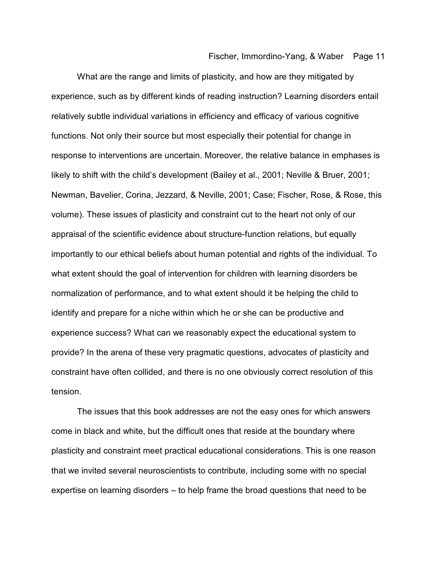What are the range and limits of plasticity, and how are they mitigated by experience, such as by different kinds of reading instruction? Learning disorders entail relatively subtle individual variations in efficiency and efficacy of various cognitive functions. Not only their source but most especially their potential for change in response to interventions are uncertain. Moreover, the relative balance in emphases is likely to shift with the child's development (Bailey et al., 2001; Neville & Bruer, 2001; Newman, Bavelier, Corina, Jezzard, & Neville, 2001; Case; Fischer, Rose, & Rose, this volume). These issues of plasticity and constraint cut to the heart not only of our appraisal of the scientific evidence about structure-function relations, but equally importantly to our ethical beliefs about human potential and rights of the individual. To what extent should the goal of intervention for children with learning disorders be normalization of performance, and to what extent should it be helping the child to identify and prepare for a niche within which he or she can be productive and experience success? What can we reasonably expect the educational system to provide? In the arena of these very pragmatic questions, advocates of plasticity and constraint have often collided, and there is no one obviously correct resolution of this tension.

The issues that this book addresses are not the easy ones for which answers come in black and white, but the difficult ones that reside at the boundary where plasticity and constraint meet practical educational considerations. This is one reason that we invited several neuroscientists to contribute, including some with no special expertise on learning disorders – to help frame the broad questions that need to be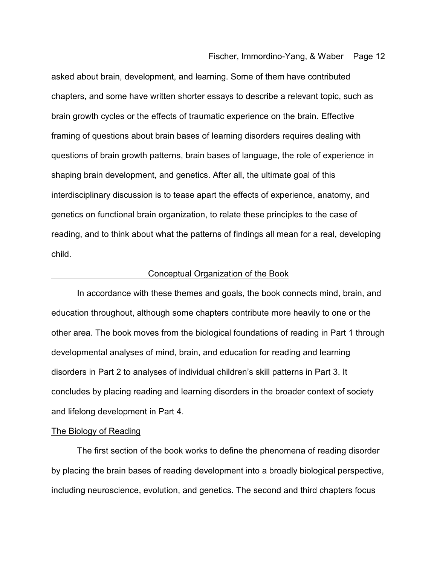asked about brain, development, and learning. Some of them have contributed chapters, and some have written shorter essays to describe a relevant topic, such as brain growth cycles or the effects of traumatic experience on the brain. Effective framing of questions about brain bases of learning disorders requires dealing with questions of brain growth patterns, brain bases of language, the role of experience in shaping brain development, and genetics. After all, the ultimate goal of this interdisciplinary discussion is to tease apart the effects of experience, anatomy, and genetics on functional brain organization, to relate these principles to the case of reading, and to think about what the patterns of findings all mean for a real, developing child.

### <span id="page-11-0"></span>Conceptual Organization of the Book

In accordance with these themes and goals, the book connects mind, brain, and education throughout, although some chapters contribute more heavily to one or the other area. The book moves from the biological foundations of reading in Part 1 through developmental analyses of mind, brain, and education for reading and learning disorders in Part 2 to analyses of individual children's skill patterns in Part 3. It concludes by placing reading and learning disorders in the broader context of society and lifelong development in Part 4.

# <span id="page-11-1"></span>The Biology of Reading

The first section of the book works to define the phenomena of reading disorder by placing the brain bases of reading development into a broadly biological perspective, including neuroscience, evolution, and genetics. The second and third chapters focus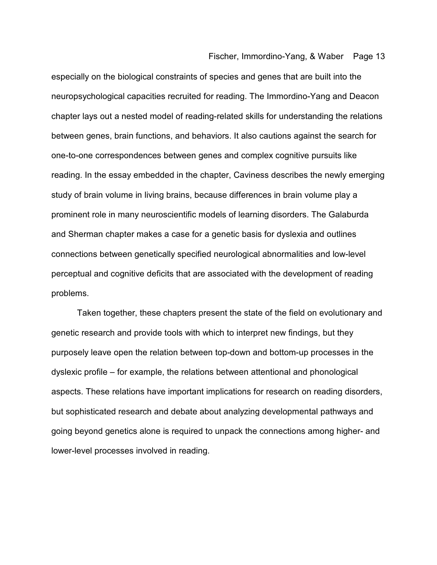especially on the biological constraints of species and genes that are built into the neuropsychological capacities recruited for reading. The Immordino-Yang and Deacon chapter lays out a nested model of reading-related skills for understanding the relations between genes, brain functions, and behaviors. It also cautions against the search for one-to-one correspondences between genes and complex cognitive pursuits like reading. In the essay embedded in the chapter, Caviness describes the newly emerging study of brain volume in living brains, because differences in brain volume play a prominent role in many neuroscientific models of learning disorders. The Galaburda and Sherman chapter makes a case for a genetic basis for dyslexia and outlines connections between genetically specified neurological abnormalities and low-level perceptual and cognitive deficits that are associated with the development of reading problems.

Taken together, these chapters present the state of the field on evolutionary and genetic research and provide tools with which to interpret new findings, but they purposely leave open the relation between top-down and bottom-up processes in the dyslexic profile – for example, the relations between attentional and phonological aspects. These relations have important implications for research on reading disorders, but sophisticated research and debate about analyzing developmental pathways and going beyond genetics alone is required to unpack the connections among higher- and lower-level processes involved in reading.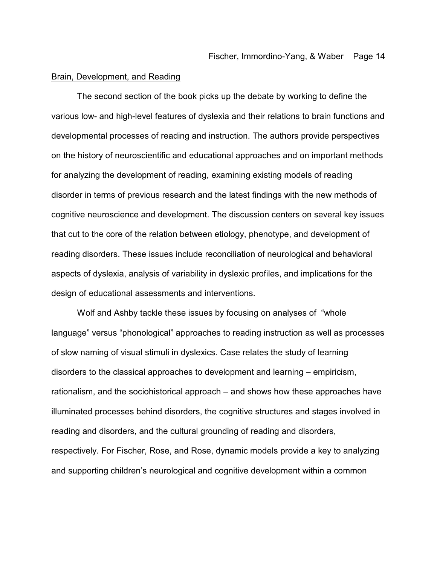# <span id="page-13-0"></span>Brain, Development, and Reading

The second section of the book picks up the debate by working to define the various low- and high-level features of dyslexia and their relations to brain functions and developmental processes of reading and instruction. The authors provide perspectives on the history of neuroscientific and educational approaches and on important methods for analyzing the development of reading, examining existing models of reading disorder in terms of previous research and the latest findings with the new methods of cognitive neuroscience and development. The discussion centers on several key issues that cut to the core of the relation between etiology, phenotype, and development of reading disorders. These issues include reconciliation of neurological and behavioral aspects of dyslexia, analysis of variability in dyslexic profiles, and implications for the design of educational assessments and interventions.

Wolf and Ashby tackle these issues by focusing on analyses of "whole language" versus "phonological" approaches to reading instruction as well as processes of slow naming of visual stimuli in dyslexics. Case relates the study of learning disorders to the classical approaches to development and learning – empiricism, rationalism, and the sociohistorical approach – and shows how these approaches have illuminated processes behind disorders, the cognitive structures and stages involved in reading and disorders, and the cultural grounding of reading and disorders, respectively. For Fischer, Rose, and Rose, dynamic models provide a key to analyzing and supporting children's neurological and cognitive development within a common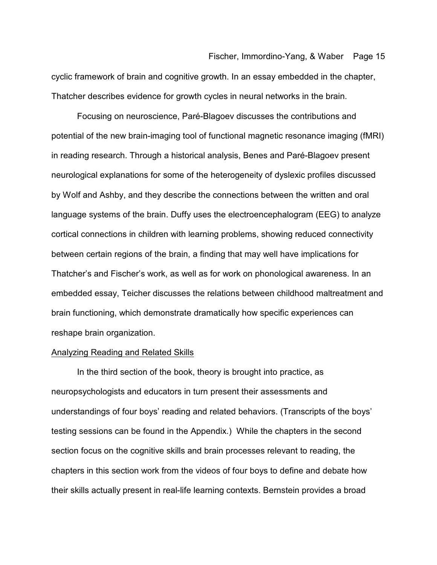cyclic framework of brain and cognitive growth. In an essay embedded in the chapter, Thatcher describes evidence for growth cycles in neural networks in the brain.

Focusing on neuroscience, Paré-Blagoev discusses the contributions and potential of the new brain-imaging tool of functional magnetic resonance imaging (fMRI) in reading research. Through a historical analysis, Benes and Paré-Blagoev present neurological explanations for some of the heterogeneity of dyslexic profiles discussed by Wolf and Ashby, and they describe the connections between the written and oral language systems of the brain. Duffy uses the electroencephalogram (EEG) to analyze cortical connections in children with learning problems, showing reduced connectivity between certain regions of the brain, a finding that may well have implications for Thatcher's and Fischer's work, as well as for work on phonological awareness. In an embedded essay, Teicher discusses the relations between childhood maltreatment and brain functioning, which demonstrate dramatically how specific experiences can reshape brain organization.

# <span id="page-14-0"></span>Analyzing Reading and Related Skills

In the third section of the book, theory is brought into practice, as neuropsychologists and educators in turn present their assessments and understandings of four boys' reading and related behaviors. (Transcripts of the boys' testing sessions can be found in the Appendix.) While the chapters in the second section focus on the cognitive skills and brain processes relevant to reading, the chapters in this section work from the videos of four boys to define and debate how their skills actually present in real-life learning contexts. Bernstein provides a broad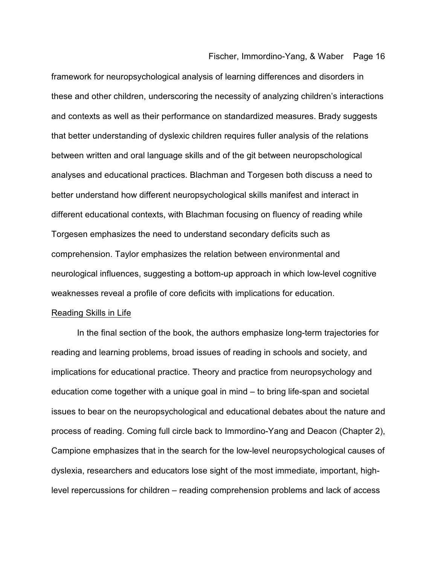framework for neuropsychological analysis of learning differences and disorders in these and other children, underscoring the necessity of analyzing children's interactions and contexts as well as their performance on standardized measures. Brady suggests that better understanding of dyslexic children requires fuller analysis of the relations between written and oral language skills and of the git between neuropschological analyses and educational practices. Blachman and Torgesen both discuss a need to better understand how different neuropsychological skills manifest and interact in different educational contexts, with Blachman focusing on fluency of reading while Torgesen emphasizes the need to understand secondary deficits such as comprehension. Taylor emphasizes the relation between environmental and neurological influences, suggesting a bottom-up approach in which low-level cognitive weaknesses reveal a profile of core deficits with implications for education.

# <span id="page-15-0"></span>Reading Skills in Life

In the final section of the book, the authors emphasize long-term trajectories for reading and learning problems, broad issues of reading in schools and society, and implications for educational practice. Theory and practice from neuropsychology and education come together with a unique goal in mind – to bring life-span and societal issues to bear on the neuropsychological and educational debates about the nature and process of reading. Coming full circle back to Immordino-Yang and Deacon (Chapter 2), Campione emphasizes that in the search for the low-level neuropsychological causes of dyslexia, researchers and educators lose sight of the most immediate, important, highlevel repercussions for children – reading comprehension problems and lack of access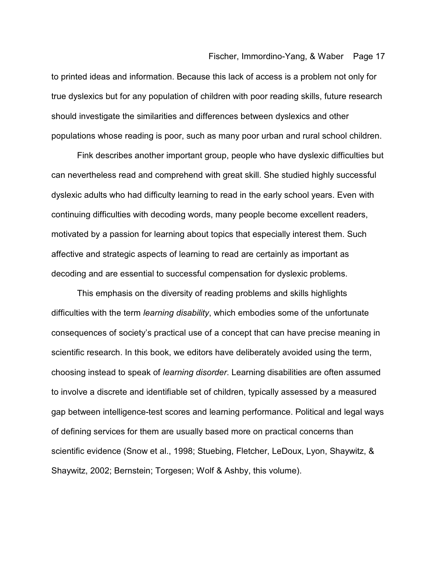to printed ideas and information. Because this lack of access is a problem not only for true dyslexics but for any population of children with poor reading skills, future research should investigate the similarities and differences between dyslexics and other populations whose reading is poor, such as many poor urban and rural school children.

Fink describes another important group, people who have dyslexic difficulties but can nevertheless read and comprehend with great skill. She studied highly successful dyslexic adults who had difficulty learning to read in the early school years. Even with continuing difficulties with decoding words, many people become excellent readers, motivated by a passion for learning about topics that especially interest them. Such affective and strategic aspects of learning to read are certainly as important as decoding and are essential to successful compensation for dyslexic problems.

This emphasis on the diversity of reading problems and skills highlights difficulties with the term *learning disability*, which embodies some of the unfortunate consequences of society's practical use of a concept that can have precise meaning in scientific research. In this book, we editors have deliberately avoided using the term, choosing instead to speak of *learning disorder*. Learning disabilities are often assumed to involve a discrete and identifiable set of children, typically assessed by a measured gap between intelligence-test scores and learning performance. Political and legal ways of defining services for them are usually based more on practical concerns than scientific evidence (Snow et al., 1998; Stuebing, Fletcher, LeDoux, Lyon, Shaywitz, & Shaywitz, 2002; Bernstein; Torgesen; Wolf & Ashby, this volume).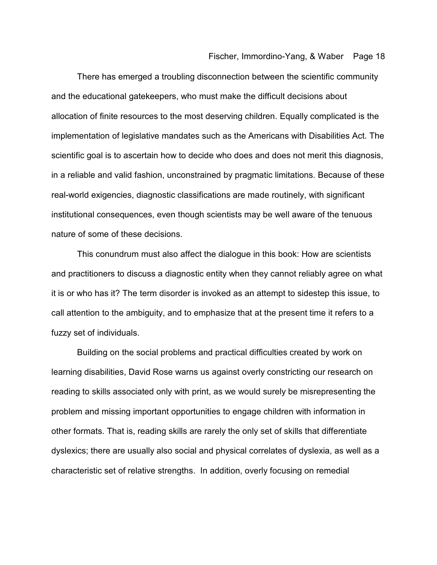There has emerged a troubling disconnection between the scientific community and the educational gatekeepers, who must make the difficult decisions about allocation of finite resources to the most deserving children. Equally complicated is the implementation of legislative mandates such as the Americans with Disabilities Act. The scientific goal is to ascertain how to decide who does and does not merit this diagnosis, in a reliable and valid fashion, unconstrained by pragmatic limitations. Because of these real-world exigencies, diagnostic classifications are made routinely, with significant institutional consequences, even though scientists may be well aware of the tenuous nature of some of these decisions.

This conundrum must also affect the dialogue in this book: How are scientists and practitioners to discuss a diagnostic entity when they cannot reliably agree on what it is or who has it? The term disorder is invoked as an attempt to sidestep this issue, to call attention to the ambiguity, and to emphasize that at the present time it refers to a fuzzy set of individuals.

Building on the social problems and practical difficulties created by work on learning disabilities, David Rose warns us against overly constricting our research on reading to skills associated only with print, as we would surely be misrepresenting the problem and missing important opportunities to engage children with information in other formats. That is, reading skills are rarely the only set of skills that differentiate dyslexics; there are usually also social and physical correlates of dyslexia, as well as a characteristic set of relative strengths. In addition, overly focusing on remedial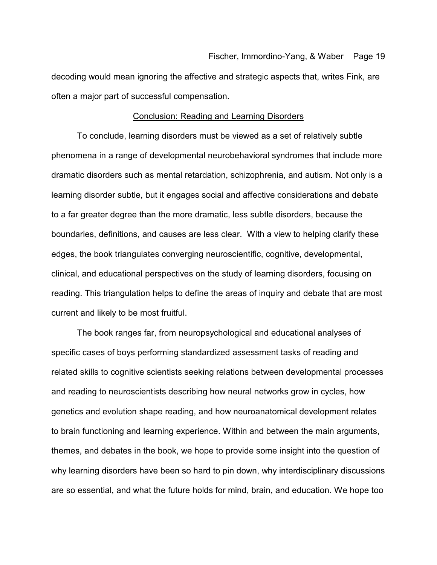decoding would mean ignoring the affective and strategic aspects that, writes Fink, are often a major part of successful compensation.

#### <span id="page-18-0"></span>Conclusion: Reading and Learning Disorders

To conclude, learning disorders must be viewed as a set of relatively subtle phenomena in a range of developmental neurobehavioral syndromes that include more dramatic disorders such as mental retardation, schizophrenia, and autism. Not only is a learning disorder subtle, but it engages social and affective considerations and debate to a far greater degree than the more dramatic, less subtle disorders, because the boundaries, definitions, and causes are less clear. With a view to helping clarify these edges, the book triangulates converging neuroscientific, cognitive, developmental, clinical, and educational perspectives on the study of learning disorders, focusing on reading. This triangulation helps to define the areas of inquiry and debate that are most current and likely to be most fruitful.

The book ranges far, from neuropsychological and educational analyses of specific cases of boys performing standardized assessment tasks of reading and related skills to cognitive scientists seeking relations between developmental processes and reading to neuroscientists describing how neural networks grow in cycles, how genetics and evolution shape reading, and how neuroanatomical development relates to brain functioning and learning experience. Within and between the main arguments, themes, and debates in the book, we hope to provide some insight into the question of why learning disorders have been so hard to pin down, why interdisciplinary discussions are so essential, and what the future holds for mind, brain, and education. We hope too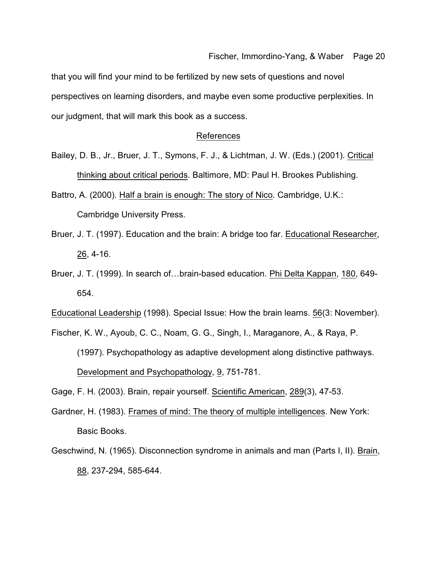that you will find your mind to be fertilized by new sets of questions and novel perspectives on learning disorders, and maybe even some productive perplexities. In our judgment, that will mark this book as a success.

#### <span id="page-19-0"></span>References

- Bailey, D. B., Jr., Bruer, J. T., Symons, F. J., & Lichtman, J. W. (Eds.) (2001). Critical thinking about critical periods. Baltimore, MD: Paul H. Brookes Publishing.
- Battro, A. (2000). Half a brain is enough: The story of Nico. Cambridge, U.K.: Cambridge University Press.
- Bruer, J. T. (1997). Education and the brain: A bridge too far. Educational Researcher, 26, 4-16.
- Bruer, J. T. (1999). In search of…brain-based education. Phi Delta Kappan, 180, 649- 654.

Educational Leadership (1998). Special Issue: How the brain learns. 56(3: November).

Fischer, K. W., Ayoub, C. C., Noam, G. G., Singh, I., Maraganore, A., & Raya, P. (1997). Psychopathology as adaptive development along distinctive pathways. Development and Psychopathology, 9, 751-781.

Gage, F. H. (2003). Brain, repair yourself. Scientific American, 289(3), 47-53.

- Gardner, H. (1983). Frames of mind: The theory of multiple intelligences. New York: Basic Books.
- Geschwind, N. (1965). Disconnection syndrome in animals and man (Parts I, II). Brain, 88, 237-294, 585-644.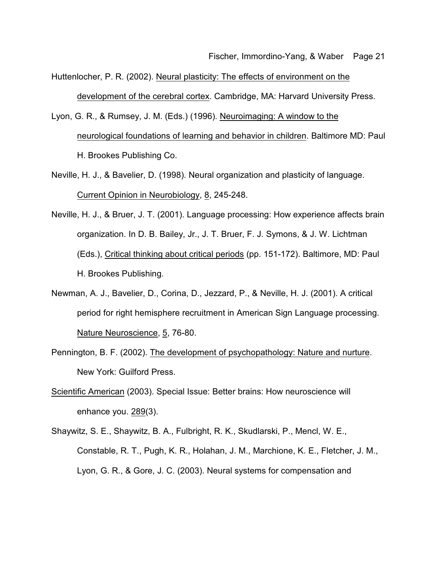- Huttenlocher, P. R. (2002). Neural plasticity: The effects of environment on the development of the cerebral cortex. Cambridge, MA: Harvard University Press.
- Lyon, G. R., & Rumsey, J. M. (Eds.) (1996). Neuroimaging: A window to the neurological foundations of learning and behavior in children. Baltimore MD: Paul H. Brookes Publishing Co.
- Neville, H. J., & Bavelier, D. (1998). Neural organization and plasticity of language. Current Opinion in Neurobiology, 8, 245-248.
- Neville, H. J., & Bruer, J. T. (2001). Language processing: How experience affects brain organization. In D. B. Bailey, Jr., J. T. Bruer, F. J. Symons, & J. W. Lichtman (Eds.), Critical thinking about critical periods (pp. 151-172). Baltimore, MD: Paul H. Brookes Publishing.
- Newman, A. J., Bavelier, D., Corina, D., Jezzard, P., & Neville, H. J. (2001). A critical period for right hemisphere recruitment in American Sign Language processing. Nature Neuroscience, 5, 76-80.
- Pennington, B. F. (2002). The development of psychopathology: Nature and nurture. New York: Guilford Press.
- Scientific American (2003). Special Issue: Better brains: How neuroscience will enhance you. 289(3).
- Shaywitz, S. E., Shaywitz, B. A., Fulbright, R. K., Skudlarski, P., Mencl, W. E., Constable, R. T., Pugh, K. R., Holahan, J. M., Marchione, K. E., Fletcher, J. M., Lyon, G. R., & Gore, J. C. (2003). Neural systems for compensation and